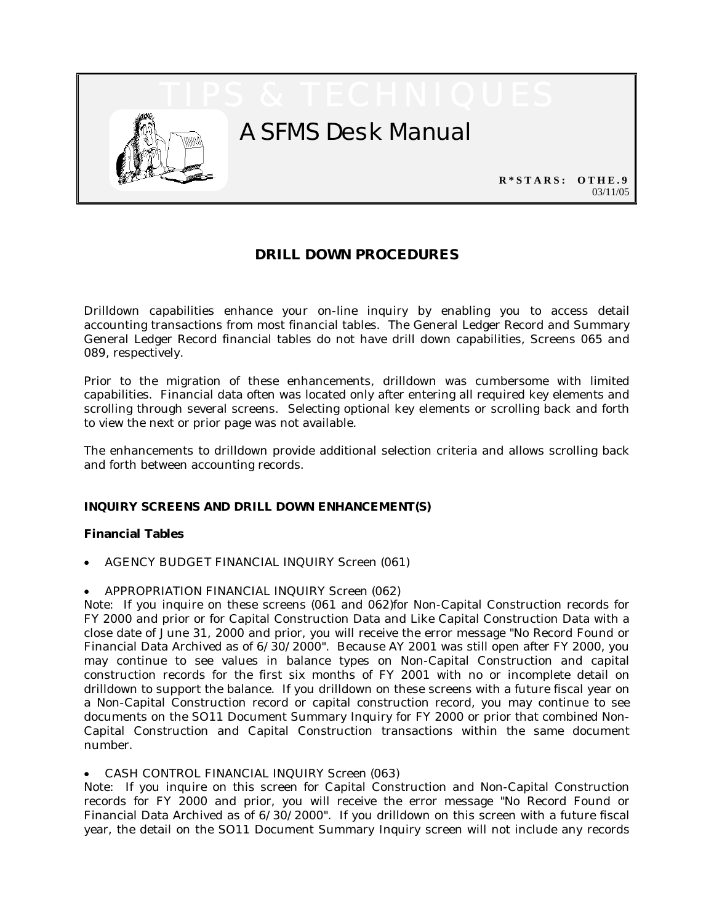

# **DRILL DOWN PROCEDURES**

Drilldown capabilities enhance your on-line inquiry by enabling you to access detail accounting transactions from most financial tables. The General Ledger Record and Summary General Ledger Record financial tables do not have drill down capabilities, Screens 065 and 089, respectively.

Prior to the migration of these enhancements, drilldown was cumbersome with limited capabilities. Financial data often was located only after entering all required key elements and scrolling through several screens. Selecting optional key elements or scrolling back and forth to view the next or prior page was not available.

The enhancements to drilldown provide additional selection criteria and allows scrolling back and forth between accounting records.

# **INQUIRY SCREENS AND DRILL DOWN ENHANCEMENT(S)**

## **Financial Tables**

- AGENCY BUDGET FINANCIAL INQUIRY Screen (061)
- APPROPRIATION FINANCIAL INQUIRY Screen (062)

Note: If you inquire on these screens (061 and 062)for Non-Capital Construction records for FY 2000 and prior or for Capital Construction Data and Like Capital Construction Data with a close date of June 31, 2000 and prior, you will receive the error message "No Record Found or Financial Data Archived as of  $6/30/2000$ ". Because AY 2001 was still open after FY 2000, you may continue to see values in balance types on Non-Capital Construction and capital construction records for the first six months of FY 2001 with no or incomplete detail on drilldown to support the balance. If you drilldown on these screens with a future fiscal year on a Non-Capital Construction record or capital construction record, you may continue to see documents on the SO11 Document Summary Inquiry for FY 2000 or prior that combined Non-Capital Construction and Capital Construction transactions within the same document number.

• CASH CONTROL FINANCIAL INQUIRY Screen (063)

Note: If you inquire on this screen for Capital Construction and Non-Capital Construction records for FY 2000 and prior, you will receive the error message "No Record Found or Financial Data Archived as of  $6/30/2000$ ". If you drilldown on this screen with a future fiscal year, the detail on the SO11 Document Summary Inquiry screen will not include any records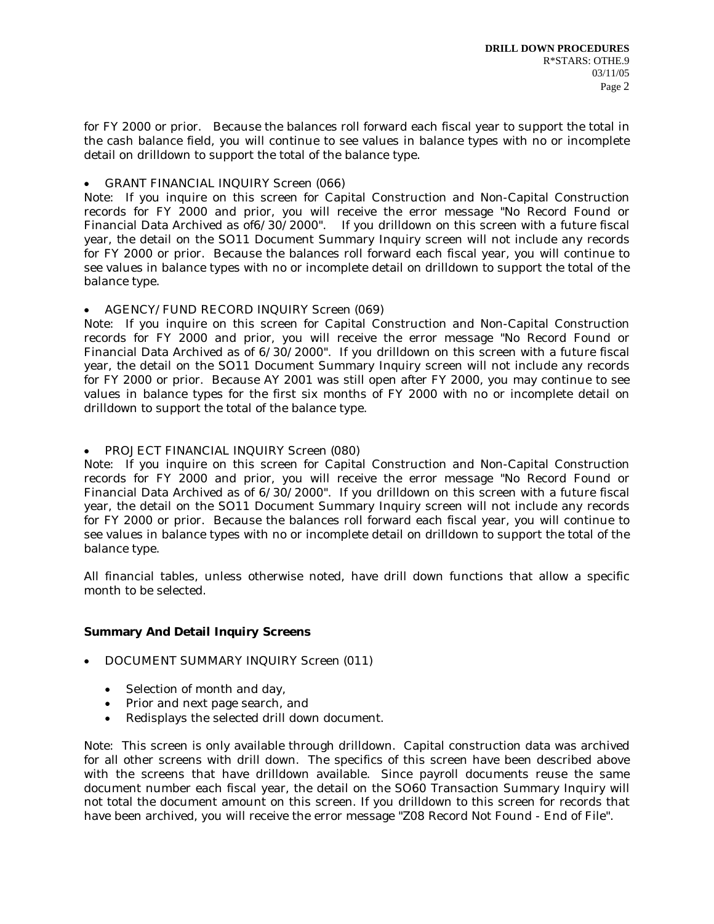for FY 2000 or prior. Because the balances roll forward each fiscal year to support the total in the cash balance field, you will continue to see values in balance types with no or incomplete detail on drilldown to support the total of the balance type.

# • GRANT FINANCIAL INQUIRY Screen (066)

Note: If you inquire on this screen for Capital Construction and Non-Capital Construction records for FY 2000 and prior, you will receive the error message "No Record Found or Financial Data Archived as of6/30/2000". If you drilldown on this screen with a future fiscal year, the detail on the SO11 Document Summary Inquiry screen will not include any records for FY 2000 or prior. Because the balances roll forward each fiscal year, you will continue to see values in balance types with no or incomplete detail on drilldown to support the total of the balance type.

• AGENCY/FUND RECORD INQUIRY Screen (069)

Note: If you inquire on this screen for Capital Construction and Non-Capital Construction records for FY 2000 and prior, you will receive the error message "No Record Found or Financial Data Archived as of 6/30/2000". If you drilldown on this screen with a future fiscal year, the detail on the SO11 Document Summary Inquiry screen will not include any records for FY 2000 or prior. Because AY 2001 was still open after FY 2000, you may continue to see values in balance types for the first six months of FY 2000 with no or incomplete detail on drilldown to support the total of the balance type.

# • PROJECT FINANCIAL INQUIRY Screen (080)

Note: If you inquire on this screen for Capital Construction and Non-Capital Construction records for FY 2000 and prior, you will receive the error message "No Record Found or Financial Data Archived as of 6/30/2000". If you drilldown on this screen with a future fiscal year, the detail on the SO11 Document Summary Inquiry screen will not include any records for FY 2000 or prior. Because the balances roll forward each fiscal year, you will continue to see values in balance types with no or incomplete detail on drilldown to support the total of the balance type.

All financial tables, unless otherwise noted, have drill down functions that allow a specific month to be selected.

# **Summary And Detail Inquiry Screens**

- DOCUMENT SUMMARY INQUIRY Screen (011)
	- Selection of month and day,
	- Prior and next page search, and
	- Redisplays the selected drill down document.

Note: This screen is only available through drilldown. Capital construction data was archived for all other screens with drill down. The specifics of this screen have been described above with the screens that have drilldown available. Since payroll documents reuse the same document number each fiscal year, the detail on the SO60 Transaction Summary Inquiry will not total the document amount on this screen. If you drilldown to this screen for records that have been archived, you will receive the error message "Z08 Record Not Found - End of File".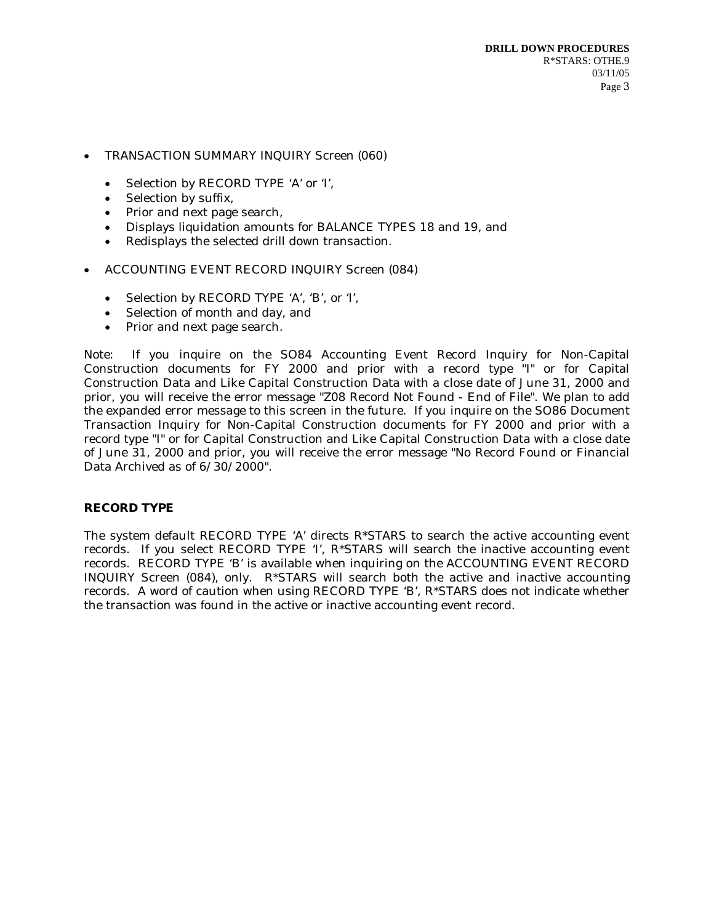- TRANSACTION SUMMARY INQUIRY Screen (060)
	- Selection by RECORD TYPE 'A' or 'I',
	- Selection by suffix,
	- Prior and next page search,
	- Displays liquidation amounts for BALANCE TYPES 18 and 19, and
	- Redisplays the selected drill down transaction.
- ACCOUNTING EVENT RECORD INQUIRY Screen (084)
	- Selection by RECORD TYPE 'A', 'B', or 'I',
	- Selection of month and day, and
	- Prior and next page search.

Note: If you inquire on the SO84 Accounting Event Record Inquiry for Non-Capital Construction documents for FY 2000 and prior with a record type "I" or for Capital Construction Data and Like Capital Construction Data with a close date of June 31, 2000 and prior, you will receive the error message "Z08 Record Not Found - End of File". We plan to add the expanded error message to this screen in the future. If you inquire on the SO86 Document Transaction Inquiry for Non-Capital Construction documents for FY 2000 and prior with a record type "I" or for Capital Construction and Like Capital Construction Data with a close date of June 31, 2000 and prior, you will receive the error message "No Record Found or Financial Data Archived as of  $6/30/2000$ ".

## **RECORD TYPE**

The system default RECORD TYPE 'A' directs  $R^*STARS$  to search the active accounting event records. If you select RECORD TYPE 'I', R\*STARS will search the inactive accounting event records. RECORD TYPE 'B' is available when inquiring on the ACCOUNTING EVENT RECORD INQUIRY Screen (084), only. R\*STARS will search both the active and inactive accounting records. A word of caution when using RECORD TYPE 'B', R\*STARS does not indicate whether the transaction was found in the active or inactive accounting event record.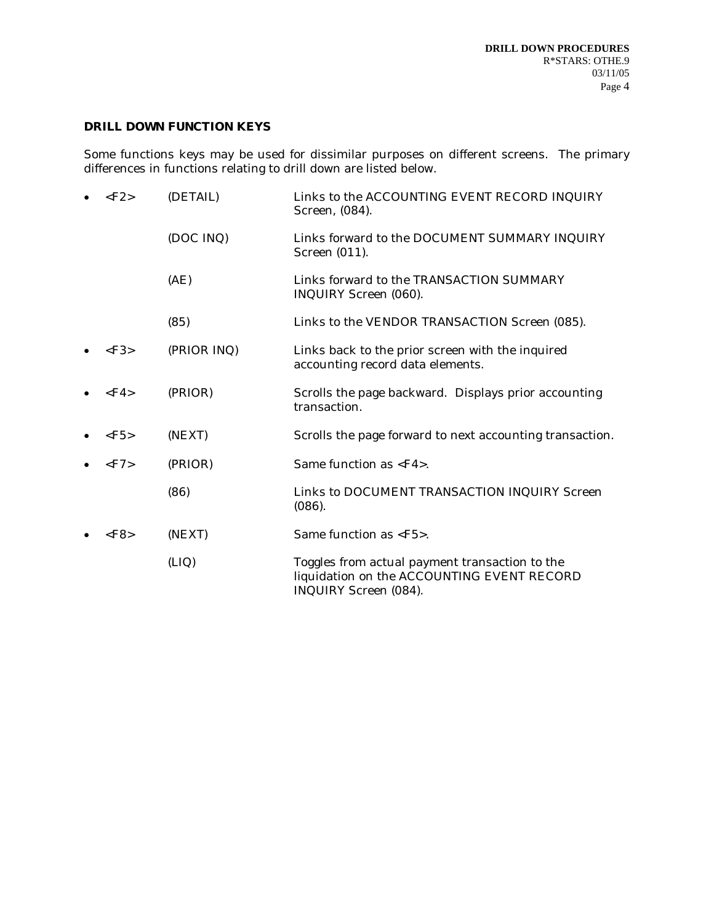# **DRILL DOWN FUNCTION KEYS**

Some functions keys may be used for dissimilar purposes on different screens. The primary differences in functions relating to drill down are listed below.

| $\langle$ F2> | (DETAIL)    | Links to the ACCOUNTING EVENT RECORD INQUIRY<br>Screen, (084).                                                        |
|---------------|-------------|-----------------------------------------------------------------------------------------------------------------------|
|               | (DOC INQ)   | Links forward to the DOCUMENT SUMMARY INQUIRY<br>Screen (011).                                                        |
|               | (AE)        | Links forward to the TRANSACTION SUMMARY<br>INQUIRY Screen (060).                                                     |
|               | (85)        | Links to the VENDOR TRANSACTION Screen (085).                                                                         |
| $\langle$ F3> | (PRIOR INQ) | Links back to the prior screen with the inquired<br>accounting record data elements.                                  |
| $\langle$ F4> | (PRIOR)     | Scrolls the page backward. Displays prior accounting<br>transaction.                                                  |
| $\langle$ F5> | (NEXT)      | Scrolls the page forward to next accounting transaction.                                                              |
| $\langle$ F7> | (PRIOR)     | Same function as $\langle$ F4 $>$ .                                                                                   |
|               | (86)        | Links to DOCUMENT TRANSACTION INQUIRY Screen<br>(086).                                                                |
| $\langle$ F8> | (NEXT)      | Same function as <f5>.</f5>                                                                                           |
|               | (LIQ)       | Toggles from actual payment transaction to the<br>liquidation on the ACCOUNTING EVENT RECORD<br>INQUIRY Screen (084). |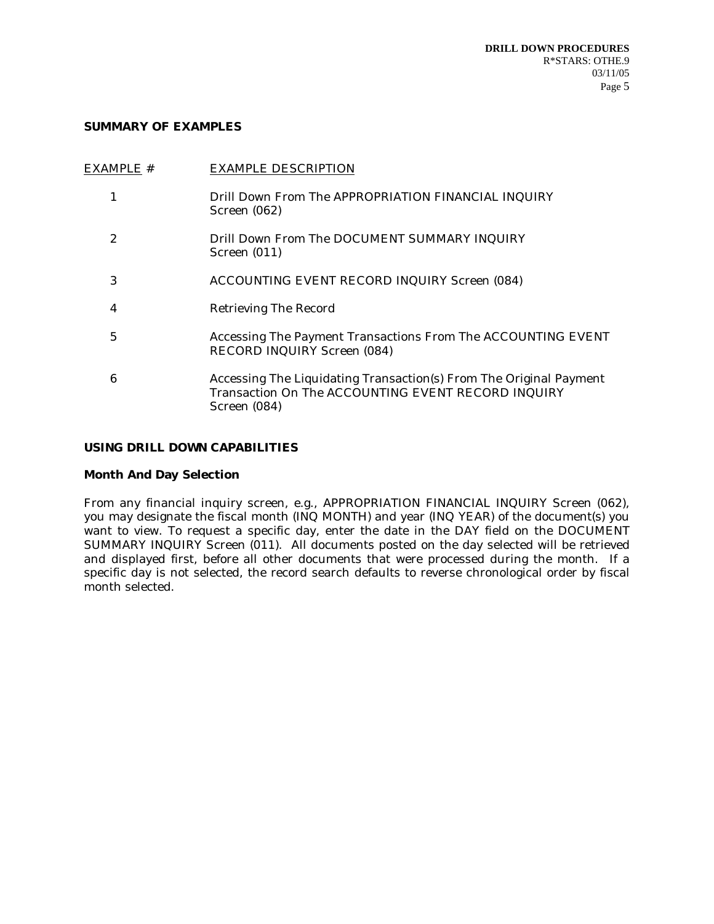### **SUMMARY OF EXAMPLES**

|   | EXAMPLE # | <b>EXAMPLE DESCRIPTION</b>                                                                                                               |
|---|-----------|------------------------------------------------------------------------------------------------------------------------------------------|
|   |           | Drill Down From The APPROPRIATION FINANCIAL INQUIRY<br>Screen (062)                                                                      |
| 2 |           | Drill Down From The DOCUMENT SUMMARY INQUIRY<br>Screen $(011)$                                                                           |
| 3 |           | <b>ACCOUNTING EVENT RECORD INQUIRY Screen (084)</b>                                                                                      |
| 4 |           | <b>Retrieving The Record</b>                                                                                                             |
| 5 |           | Accessing The Payment Transactions From The ACCOUNTING EVENT<br>RECORD INQUIRY Screen (084)                                              |
| 6 |           | Accessing The Liquidating Transaction(s) From The Original Payment<br>Transaction On The ACCOUNTING EVENT RECORD INQUIRY<br>Screen (084) |
|   |           |                                                                                                                                          |

# **USING DRILL DOWN CAPABILITIES**

# **Month And Day Selection**

From any financial inquiry screen, e.g., APPROPRIATION FINANCIAL INQUIRY Screen (062), you may designate the fiscal month (INQ MONTH) and year (INQ YEAR) of the document(s) you want to view. To request a specific day, enter the date in the DAY field on the DOCUMENT SUMMARY INQUIRY Screen (011). All documents posted on the day selected will be retrieved and displayed first, before all other documents that were processed during the month. If a specific day is not selected, the record search defaults to reverse chronological order by fiscal month selected.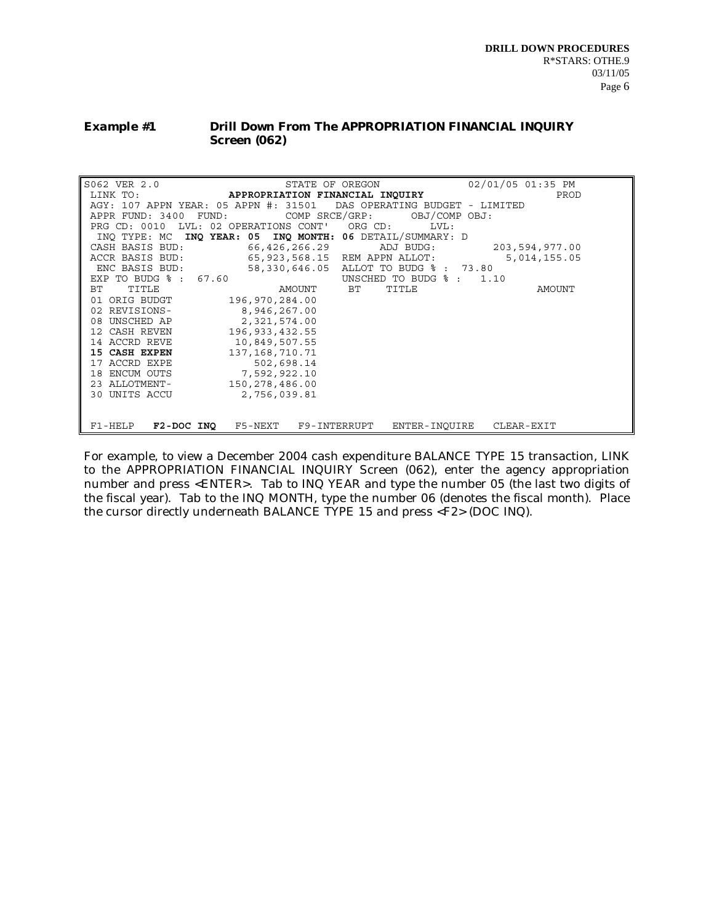#### *Example #1* **Drill Down From The APPROPRIATION FINANCIAL INQUIRY Screen (062)**

| S062 VER 2.0          | STATE OF OREGON                                                     |                                      | 02/01/05 01:35 PM |        |
|-----------------------|---------------------------------------------------------------------|--------------------------------------|-------------------|--------|
| LINK TO:              | APPROPRIATION FINANCIAL INQUIRY                                     |                                      |                   | PROD   |
|                       | AGY: 107 APPN YEAR: 05 APPN #: 31501 DAS OPERATING BUDGET - LIMITED |                                      |                   |        |
| APPR FUND: 3400 FUND: |                                                                     | COMP SRCE/GRP: OBJ/COMP OBJ:         |                   |        |
|                       | PRG CD: 0010 LVL: 02 OPERATIONS CONT' ORG CD:                       | LVL:                                 |                   |        |
| INO TYPE: MC          | INQ YEAR: 05 INQ MONTH: 06 DETAIL/SUMMARY: D                        |                                      |                   |        |
| CASH BASIS BUD:       |                                                                     | 66,426,266.29 ADJ BUDG:              | 203,594,977.00    |        |
| ACCR BASIS BUD:       |                                                                     | 65,923,568.15 REM APPN ALLOT:        | 5,014,155.05      |        |
| ENC BASIS BUD:        | 58,330,646.05                                                       | ALLOT TO BUDG % : 73.80              |                   |        |
| EXP TO BUDG % : 67.60 |                                                                     | UNSCHED TO BUDG $\frac{1}{2}$ : 1.10 |                   |        |
| TITLE<br>ВT           | AMOUNT BT                                                           | TITLE                                |                   | AMOUNT |
| ORIG BUDGT<br>01      | 196,970,284.00                                                      |                                      |                   |        |
| 02 REVISIONS-         | 8,946,267.00                                                        |                                      |                   |        |
| UNSCHED AP<br>08      | 2,321,574.00                                                        |                                      |                   |        |
| 12 CASH REVEN         | 196, 933, 432.55                                                    |                                      |                   |        |
| 14 ACCRD REVE         | 10,849,507.55                                                       |                                      |                   |        |
| 15 CASH EXPEN         | 137, 168, 710. 71                                                   |                                      |                   |        |
| 17 ACCRD EXPE         | 502,698.14                                                          |                                      |                   |        |
| 18 ENCUM OUTS         | 7,592,922.10                                                        |                                      |                   |        |
| 23 ALLOTMENT-         | 150,278,486.00                                                      |                                      |                   |        |
| 30 UNITS ACCU         | 2,756,039.81                                                        |                                      |                   |        |
|                       |                                                                     |                                      |                   |        |
|                       |                                                                     |                                      |                   |        |
| F1-HELP               | <b>F2-DOC INQ</b> F5-NEXT F9-INTERRUPT                              | ENTER-INOUIRE                        | CLEAR-EXIT        |        |

For example, to view a December 2004 cash expenditure BALANCE TYPE 15 transaction, LINK to the APPROPRIATION FINANCIAL INQUIRY Screen (062), enter the agency appropriation number and press <ENTER>. Tab to INQ YEAR and type the number 05 (the last two digits of the fiscal year). Tab to the INQ MONTH, type the number 06 (denotes the fiscal month). Place the cursor directly underneath BALANCE TYPE 15 and press <F2> (DOC INQ).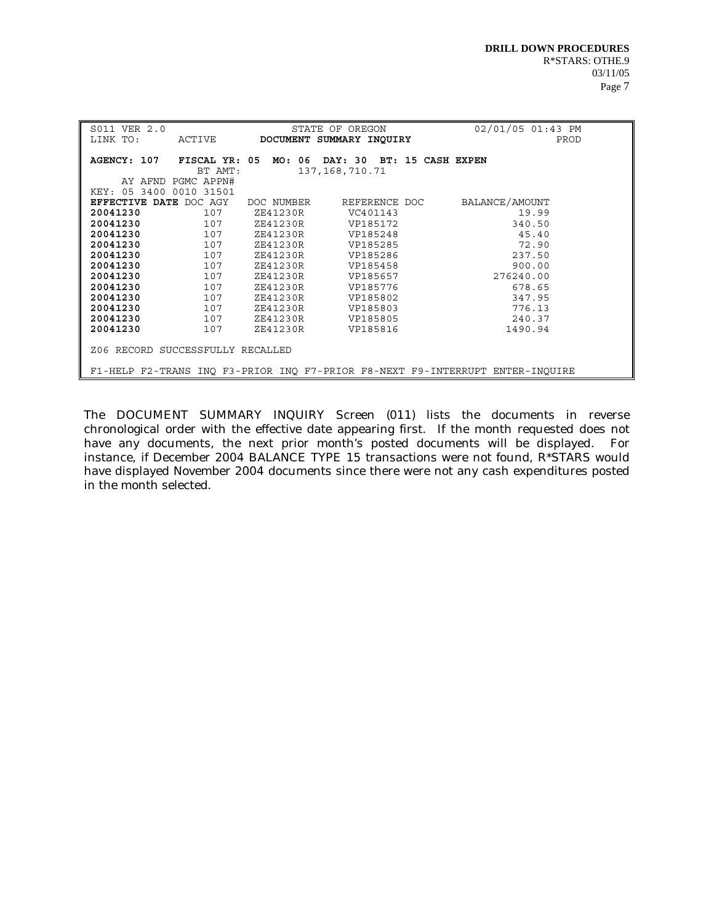| S011 VER 2.0<br>LINK TO:<br>ACTIVE                                            | STATE OF OREGON<br>DOCUMENT SUMMARY INQUIRY              | 02/01/05 01:43 PM<br>PROD |  |  |  |
|-------------------------------------------------------------------------------|----------------------------------------------------------|---------------------------|--|--|--|
| FISCAL YR: 05<br>AGENCY: 107<br>BT AMT:                                       | MO: 06<br>DAY: 30 BT: 15 CASH EXPEN<br>137, 168, 710. 71 |                           |  |  |  |
| AY AFND PGMC APPN#<br>KEY: 05 3400 0010 31501                                 |                                                          |                           |  |  |  |
| EFFECTIVE DATE DOC AGY                                                        | REFERENCE DOC<br>DOC NUMBER                              | BALANCE/AMOUNT            |  |  |  |
| 20041230<br>107                                                               | ZE41230R<br>VC401143                                     | 19.99                     |  |  |  |
| 20041230<br>107                                                               | ZE41230R<br>VP185172                                     | 340.50                    |  |  |  |
| 20041230<br>107                                                               | ZE41230R<br>VP185248                                     | 45.40                     |  |  |  |
| 20041230<br>107                                                               | ZE41230R<br>VP185285                                     | 72.90                     |  |  |  |
| 20041230<br>107                                                               | ZE41230R<br>VP185286                                     | 237.50                    |  |  |  |
| 20041230<br>107                                                               | ZE41230R<br>VP185458                                     | 900.00                    |  |  |  |
| 20041230<br>107                                                               | ZE41230R<br>VP185657                                     | 276240.00                 |  |  |  |
| 20041230<br>107                                                               | ZE41230R<br>VP185776                                     | 678.65                    |  |  |  |
| 20041230<br>107                                                               | ZE41230R<br>VP185802                                     | 347.95                    |  |  |  |
| 20041230<br>107                                                               | ZE41230R<br>VP185803                                     | 776.13                    |  |  |  |
| 20041230<br>107                                                               | ZE41230R<br>VP185805                                     | 240.37                    |  |  |  |
| 20041230<br>107                                                               | ZE41230R<br>VP185816                                     | 1490.94                   |  |  |  |
| Z06 RECORD SUCCESSFULLY RECALLED                                              |                                                          |                           |  |  |  |
| F1-HELP F2-TRANS INQ F3-PRIOR INQ F7-PRIOR F8-NEXT F9-INTERRUPT ENTER-INQUIRE |                                                          |                           |  |  |  |

The DOCUMENT SUMMARY INQUIRY Screen (011) lists the documents in reverse chronological order with the effective date appearing first. If the month requested does not have any documents, the next prior month's posted documents will be displayed. For instance, if December 2004 BALANCE TYPE 15 transactions were not found, R\*STARS would have displayed November 2004 documents since there were not any cash expenditures posted in the month selected.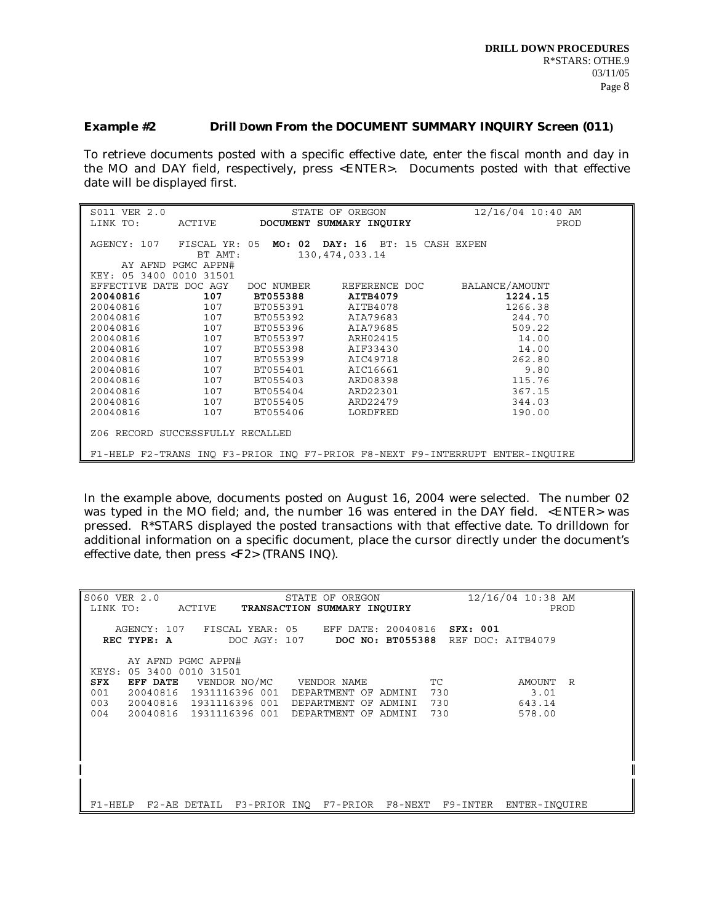#### *Example #2* **Drill Down From the DOCUMENT SUMMARY INQUIRY Screen (011)**

To retrieve documents posted with a specific effective date, enter the fiscal month and day in the MO and DAY field, respectively, press <ENTER>. Documents posted with that effective date will be displayed first.

| S011 VER 2.0<br>LINK TO:                                                      | ACTIVE                   | 12/16/04 10:40 AM<br>STATE OF OREGON<br>DOCUMENT SUMMARY INQUIRY<br>PROD |  |  |  |  |
|-------------------------------------------------------------------------------|--------------------------|--------------------------------------------------------------------------|--|--|--|--|
|                                                                               |                          |                                                                          |  |  |  |  |
| AGENCY: 107                                                                   | FISCAL YR: 05<br>BT AMT: | DAY: 16<br>MO: 02<br>BT: 15 CASH EXPEN<br>130, 474, 033. 14              |  |  |  |  |
|                                                                               | AY AFND PGMC APPN#       |                                                                          |  |  |  |  |
| KEY: 05 3400                                                                  | 0010 31501               |                                                                          |  |  |  |  |
| DATE<br><b>EFFECTIVE</b>                                                      | DOC AGY                  | BALANCE/AMOUNT<br>DOC NUMBER<br>REFERENCE DOC                            |  |  |  |  |
| 20040816                                                                      | 107                      | <b>BT055388</b><br>AITB4079<br>1224.15                                   |  |  |  |  |
| 20040816                                                                      | 107                      | 1266.38<br>BT055391<br>AITB4078                                          |  |  |  |  |
| 20040816                                                                      | 107                      | AIA79683<br>244.70<br>BT055392                                           |  |  |  |  |
| 20040816                                                                      | 107                      | 509.22<br>BT055396<br>AIA79685                                           |  |  |  |  |
| 20040816                                                                      | 107                      | BT055397<br>ARH02415<br>14.00                                            |  |  |  |  |
| 20040816                                                                      | 107                      | BT055398<br>AIF33430<br>14.00                                            |  |  |  |  |
| 20040816                                                                      | 107                      | 262.80<br>BT055399<br>AIC49718                                           |  |  |  |  |
| 20040816                                                                      | 107                      | BT055401<br>AIC16661<br>9.80                                             |  |  |  |  |
| 20040816                                                                      | 107                      | BT055403<br>ARD08398<br>115.76                                           |  |  |  |  |
| 20040816                                                                      | 107                      | ARD22301<br>367.15<br>BT055404                                           |  |  |  |  |
| 20040816                                                                      | 107                      | BT055405<br>ARD22479<br>344.03                                           |  |  |  |  |
| 20040816                                                                      | 107                      | BT055406<br>LORDFRED<br>190.00                                           |  |  |  |  |
| Z06 RECORD SUCCESSFULLY RECALLED                                              |                          |                                                                          |  |  |  |  |
| F1-HELP F2-TRANS INO F3-PRIOR INO F7-PRIOR F8-NEXT F9-INTERRUPT ENTER-INOUIRE |                          |                                                                          |  |  |  |  |

In the example above, documents posted on August 16, 2004 were selected. The number 02 was typed in the MO field; and, the number 16 was entered in the DAY field. <ENTER> was pressed. R\*STARS displayed the posted transactions with that effective date. To drilldown for additional information on a specific document, place the cursor directly under the document's effective date, then press <F2> (TRANS INQ).

| S060 VER 2.0<br>STATE OF OREGON<br>LINK TO:<br>ACTIVE <b>TRANSACTION SUMMARY INQUIRY</b>                                  | 12/16/04 10:38 AM<br>PROD |
|---------------------------------------------------------------------------------------------------------------------------|---------------------------|
| AGENCY: 107 FISCAL YEAR: 05 EFF DATE: 20040816 SFX: 001<br>REC TYPE: A<br>DOC AGY: 107 DOC NO: BT055388 REF DOC: AITB4079 |                           |
| AY AFND PGMC APPN#<br>KEYS: 05 3400 0010 31501                                                                            |                           |
| EFF DATE VENDOR NO/MC VENDOR NAME<br>SFX<br>TC<br>20040816 1931116396 001 DEPARTMENT OF ADMINI 730<br>001                 | AMOUNT R<br>3.01          |
| 003<br>20040816 1931116396 001<br>730<br>DEPARTMENT OF ADMINI                                                             | 643.14                    |
| 004<br>20040816 1931116396 001 DEPARTMENT OF ADMINI<br>730                                                                | 578.00                    |
|                                                                                                                           |                           |
|                                                                                                                           |                           |
|                                                                                                                           |                           |
| F2-AE DETAIL F3-PRIOR INO F7-PRIOR F8-NEXT F9-INTER<br>$F1$ -HELP                                                         | ENTER-INOUIRE             |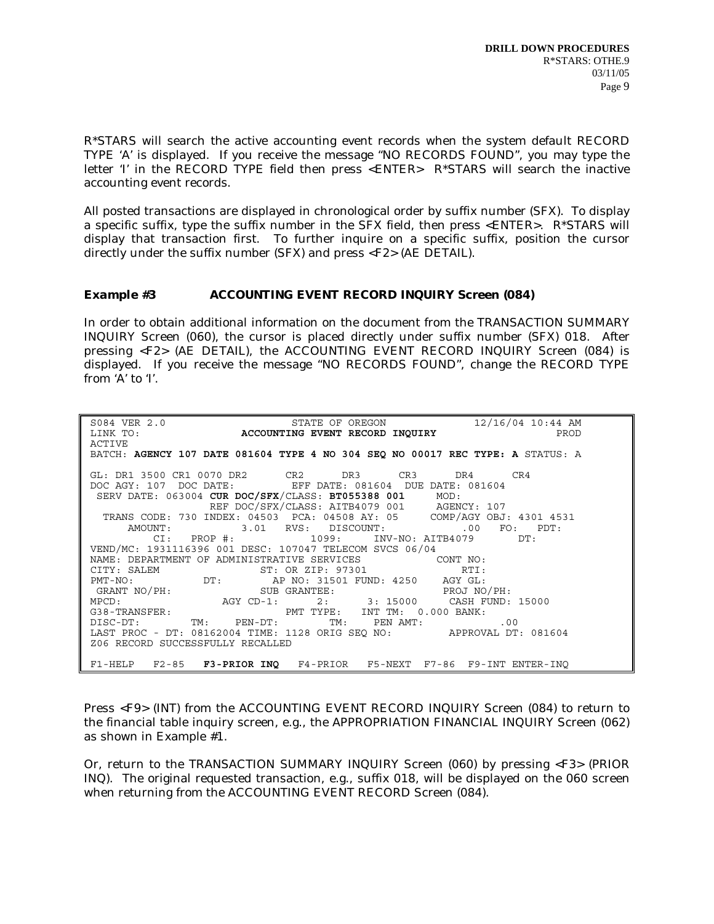R\*STARS will search the active accounting event records when the system default RECORD TYPE 'A' is displayed. If you receive the message "NO RECORDS FOUND", you may type the letter 'I' in the RECORD TYPE field then press <ENTER> R\*STARS will search the inactive accounting event records.

All posted transactions are displayed in chronological order by suffix number (SFX). To display a specific suffix, type the suffix number in the SFX field, then press <ENTER>. R\*STARS will display that transaction first. To further inquire on a specific suffix, position the cursor directly under the suffix number (SFX) and press <F2> (AE DETAIL).

# *Example #3* **ACCOUNTING EVENT RECORD INQUIRY Screen (084)**

In order to obtain additional information on the document from the TRANSACTION SUMMARY INQUIRY Screen (060), the cursor is placed directly under suffix number (SFX) 018. After pressing <F2> (AE DETAIL), the ACCOUNTING EVENT RECORD INQUIRY Screen (084) is displayed. If you receive the message "NO RECORDS FOUND", change the RECORD TYPE from 'A' to 'I'.

| ${\tt SO84~VER~2.0}~~{\tt STATE~OF~OREGON}~~12/16/04~10:44~AM~LINK~TO:~~{\tt ACCOUNTING~EVENT~RECORD~INQUIRY}~~{\tt PROD}~~{\tt PROD}~~{\tt NQUIRY}~~{\tt NQUIRY}~~{\tt NQUIRY}~~{\tt NQUIRY}~~{\tt NQUIRY}~~{\tt NQUIRY}~~{\tt NQUIRY}~~{\tt NQUIRY}~~{\tt NQUIRY}}~~{\tt NQUIRY}~~{\tt NQUIRY}~~{\tt NQUIRY}~~{\tt NQUIRY}~~{\tt NQUIRY}~~{\tt NQUIRY}~~{\tt NQUIRY}}~~{\tt NQUIRY}~~{\tt NQ$ |
|-------------------------------------------------------------------------------------------------------------------------------------------------------------------------------------------------------------------------------------------------------------------------------------------------------------------------------------------------------------------------------------------------|
|                                                                                                                                                                                                                                                                                                                                                                                                 |
| ACTIVE                                                                                                                                                                                                                                                                                                                                                                                          |
| BATCH: AGENCY 107 DATE 081604 TYPE 4 NO 304 SEQ NO 00017 REC TYPE: A STATUS: A                                                                                                                                                                                                                                                                                                                  |
|                                                                                                                                                                                                                                                                                                                                                                                                 |
| GL: DR1 3500 CR1 0070 DR2 CR2 DR3 CR3 DR4 CR4                                                                                                                                                                                                                                                                                                                                                   |
| DOC AGY: 107 DOC DATE: EFF DATE: 081604 DUE DATE: 081604                                                                                                                                                                                                                                                                                                                                        |
| SERV DATE: 063004 CUR DOC/SFX/CLASS: BT055388 001 MOD:                                                                                                                                                                                                                                                                                                                                          |
| REF DOC/SFX/CLASS: AITB4079 001 AGENCY: 107                                                                                                                                                                                                                                                                                                                                                     |
| TRANS CODE: 730 INDEX: 04503 PCA: 04508 AY: 05 COMP/AGY OBJ: 4301 4531                                                                                                                                                                                                                                                                                                                          |
| $\texttt{AMOUNT}: \qquad \qquad 3.01 \quad \texttt{RVS}: \quad \texttt{DISCOUNT}: \qquad \qquad .00 \quad \texttt{FO}: \quad \texttt{PDT}:$                                                                                                                                                                                                                                                     |
| $CI: PROP$ #: $1099: INV-NO: AITB4079$ DT:                                                                                                                                                                                                                                                                                                                                                      |
| VEND/MC: 1931116396 001 DESC: 107047 TELECOM SVCS 06/04                                                                                                                                                                                                                                                                                                                                         |
| NAME: DEPARTMENT OF ADMINISTRATIVE SERVICES CONT NO:                                                                                                                                                                                                                                                                                                                                            |
| CITY: SALEM ST: OR ZIP: 97301 RTI:<br>PMT-NO: DT: AP NO: 31501 FUND: 4250 AGY GL:<br>GRANT NO/PH: SUB GRANTEE: PROJ NO/PH: SUB GRANTEE: PROJ NO/PH:<br>MPCD: AGY CD-1: 2: 3: 15000 CASH FUND: 15000<br>G38-TRANSFER: THE PMT TYPE: INT                                                                                                                                                          |
|                                                                                                                                                                                                                                                                                                                                                                                                 |
|                                                                                                                                                                                                                                                                                                                                                                                                 |
|                                                                                                                                                                                                                                                                                                                                                                                                 |
|                                                                                                                                                                                                                                                                                                                                                                                                 |
| ${\tt DISC-DT:}\qquad \qquad {\tt TM:}\qquad {\tt PEN-DT:}\qquad \qquad {\tt TM:}\qquad {\tt PEN AMT:}\qquad \qquad .00$                                                                                                                                                                                                                                                                        |
| LAST PROC - DT: 08162004 TIME: 1128 ORIG SEQ NO: APPROVAL DT: 081604                                                                                                                                                                                                                                                                                                                            |
| Z06 RECORD SUCCESSFULLY RECALLED                                                                                                                                                                                                                                                                                                                                                                |
|                                                                                                                                                                                                                                                                                                                                                                                                 |
| F1-HELP F2-85 F3-PRIOR INQ F4-PRIOR F5-NEXT F7-86 F9-INT ENTER-INQ                                                                                                                                                                                                                                                                                                                              |

Press <F9> (INT) from the ACCOUNTING EVENT RECORD INQUIRY Screen (084) to return to the financial table inquiry screen, e.g., the APPROPRIATION FINANCIAL INQUIRY Screen (062) as shown in Example #1.

Or, return to the TRANSACTION SUMMARY INQUIRY Screen (060) by pressing <F3> (PRIOR INQ). The original requested transaction, e.g., suffix 018, will be displayed on the 060 screen when returning from the ACCOUNTING EVENT RECORD Screen (084).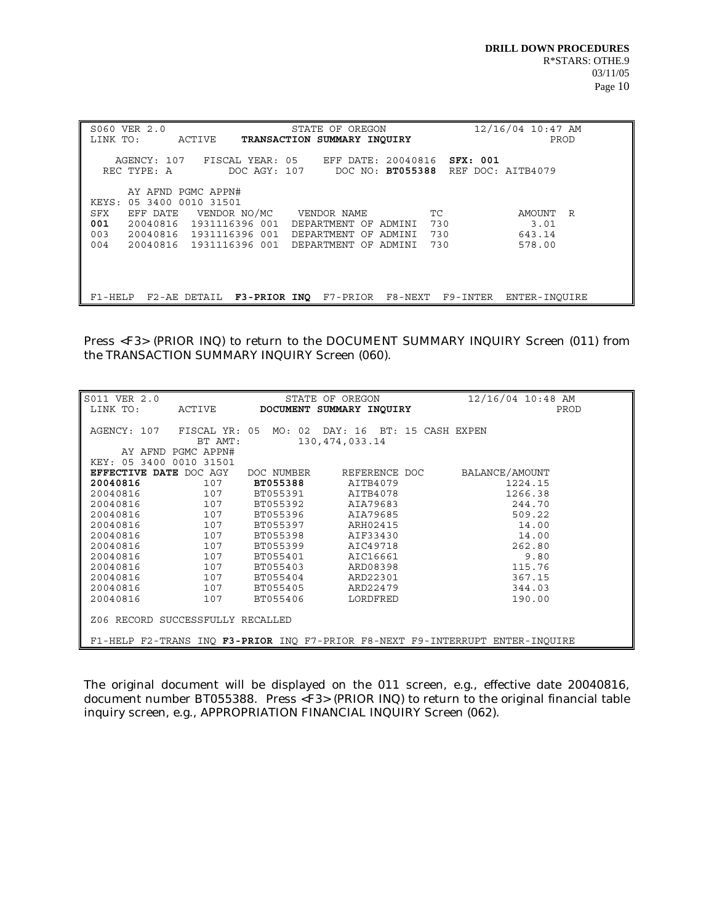| S060 VER 2.0<br>LINK TO:<br>ACTIVE                                                                                                                                                                  | STATE OF OREGON<br>TRANSACTION SUMMARY INOUIRY                                                         | 12/16/04 10:47 AM<br>PROD            |
|-----------------------------------------------------------------------------------------------------------------------------------------------------------------------------------------------------|--------------------------------------------------------------------------------------------------------|--------------------------------------|
| AGENCY: 107<br>REC TYPE: A<br>DOC AGY: 107                                                                                                                                                          | FISCAL YEAR: 05 EFF DATE: 20040816<br>SFX: 001<br>DOC NO: BT055388                                     | REF DOC: AITB4079                    |
| AY AFND PGMC APPN#<br>KEYS: 05 3400 0010 31501<br>EFF DATE VENDOR NO/MC VENDOR NAME<br>SFX<br>001<br>20040816<br>1931116396 001<br>003<br>20040816 1931116396 001<br>004<br>20040816 1931116396 001 | <b>TC</b><br>730<br>DEPARTMENT OF ADMINI<br>730<br>DEPARTMENT OF ADMINI<br>730<br>DEPARTMENT OF ADMINI | AMOUNT R<br>3.01<br>643.14<br>578.00 |
| F1-HELP<br>F2-AE DETAIL                                                                                                                                                                             | F3-PRIOR INO F7-PRIOR F8-NEXT F9-INTER                                                                 | ENTER-INOUIRE                        |

Press <F3> (PRIOR INQ) to return to the DOCUMENT SUMMARY INQUIRY Screen (011) from the TRANSACTION SUMMARY INQUIRY Screen (060).

| S011 VER 2.0                                                                  |                          |            | STATE OF OREGON                    |                   | $12/16/04$ 10:48 AM |
|-------------------------------------------------------------------------------|--------------------------|------------|------------------------------------|-------------------|---------------------|
| LINK TO:                                                                      | ACTIVE                   |            | DOCUMENT SUMMARY INQUIRY           |                   | PROD                |
| AGENCY: 107                                                                   | FISCAL YR: 05<br>BT AMT: |            | MO: 02 DAY: 16<br>130, 474, 033.14 | BT: 15 CASH EXPEN |                     |
|                                                                               | AY AFND PGMC APPN#       |            |                                    |                   |                     |
| KEY: 05 3400 0010 31501                                                       |                          |            |                                    |                   |                     |
| EFFECTIVE DATE DOC AGY                                                        |                          | DOC NUMBER | REFERENCE DOC                      |                   | BALANCE/AMOUNT      |
| 20040816                                                                      | 107                      | BT055388   | AITB4079                           |                   | 1224.15             |
| 20040816                                                                      | 107                      | BT055391   | AITB4078                           |                   | 1266.38             |
| 20040816                                                                      | 107                      | BT055392   | AIA79683                           |                   | 244.70              |
| 20040816                                                                      | 107                      | BT055396   | AIA79685                           |                   | 509.22              |
| 20040816                                                                      | 107                      | BT055397   | ARH02415                           |                   | 14.00               |
| 20040816                                                                      | 107                      | BT055398   | AIF33430                           |                   | 14.00               |
| 20040816                                                                      | 107                      | BT055399   | AIC49718                           |                   | 262.80              |
| 20040816                                                                      | 107                      | BT055401   | AIC16661                           |                   | 9.80                |
| 20040816                                                                      | 107                      | BT055403   | ARD08398                           |                   | 115.76              |
| 20040816                                                                      | 107                      | BT055404   | ARD22301                           |                   | 367.15              |
| 20040816                                                                      | 107                      | BT055405   | ARD22479                           |                   | 344.03              |
| 20040816                                                                      | 107                      | BT055406   | LORDFRED                           |                   | 190.00              |
| Z06 RECORD                                                                    | SUCCESSFULLY RECALLED    |            |                                    |                   |                     |
| F1-HELP F2-TRANS INQ F3-PRIOR INQ F7-PRIOR F8-NEXT F9-INTERRUPT ENTER-INQUIRE |                          |            |                                    |                   |                     |

The original document will be displayed on the 011 screen, e.g., effective date 20040816, document number BT055388. Press <F3> (PRIOR INQ) to return to the original financial table inquiry screen, e.g., APPROPRIATION FINANCIAL INQUIRY Screen (062).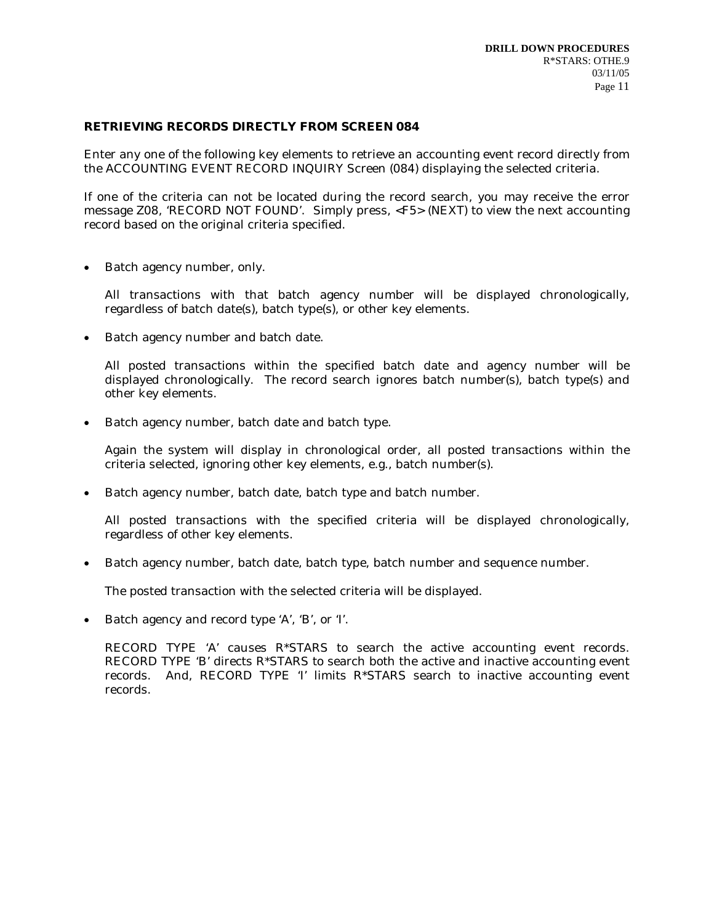### **RETRIEVING RECORDS DIRECTLY FROM SCREEN 084**

Enter any one of the following key elements to retrieve an accounting event record directly from the ACCOUNTING EVENT RECORD INQUIRY Screen (084) displaying the selected criteria.

If one of the criteria can not be located during the record search, you may receive the error message Z08, 'RECORD NOT FOUND'. Simply press, <F5> (NEXT) to view the next accounting record based on the original criteria specified.

Batch agency number, only.

All transactions with that batch agency number will be displayed chronologically, regardless of batch date(s), batch type(s), or other key elements.

• Batch agency number and batch date.

All posted transactions within the specified batch date and agency number will be displayed chronologically. The record search ignores batch number(s), batch type(s) and other key elements.

• Batch agency number, batch date and batch type.

Again the system will display in chronological order, all posted transactions within the criteria selected, ignoring other key elements, e.g., batch number(s).

Batch agency number, batch date, batch type and batch number.

All posted transactions with the specified criteria will be displayed chronologically, regardless of other key elements.

• Batch agency number, batch date, batch type, batch number and sequence number.

The posted transaction with the selected criteria will be displayed.

• Batch agency and record type 'A', 'B', or 'I'.

RECORD TYPE 'A' causes R\*STARS to search the active accounting event records. RECORD TYPE 'B' directs R\*STARS to search both the active and inactive accounting event records. And, RECORD TYPE 'I' limits R\*STARS search to inactive accounting event records.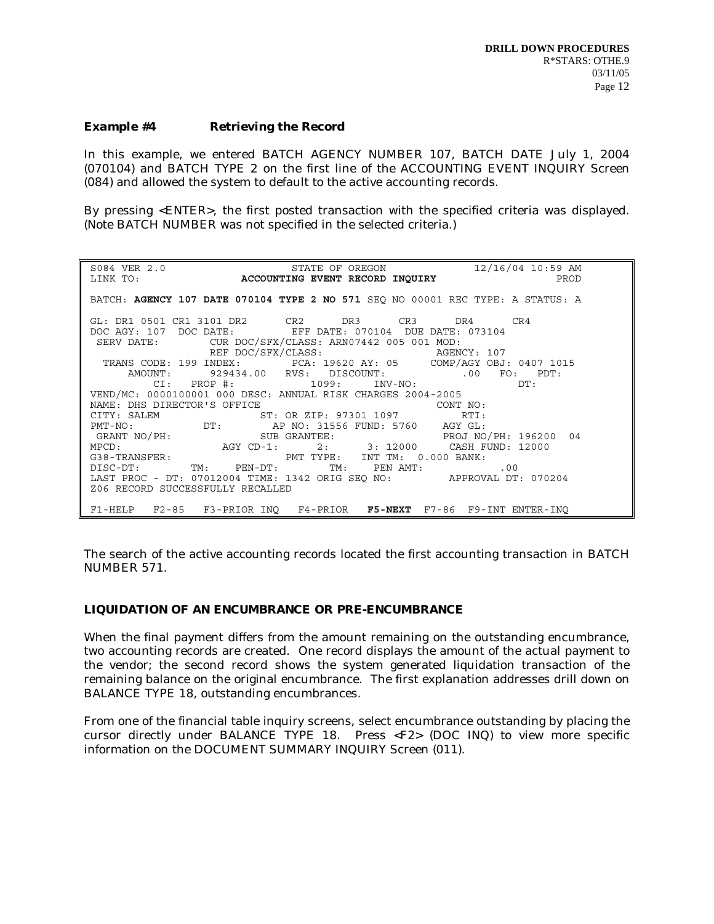#### *Example #4* **Retrieving the Record**

In this example, we entered BATCH AGENCY NUMBER 107, BATCH DATE July 1, 2004 (070104) and BATCH TYPE 2 on the first line of the ACCOUNTING EVENT INQUIRY Screen (084) and allowed the system to default to the active accounting records.

By pressing <ENTER>, the first posted transaction with the specified criteria was displayed. (Note BATCH NUMBER was not specified in the selected criteria.)

S084 VER 2.0 STATE OF OREGON 12/16/04 10:59 AM<br>LINK TO: **ACCOUNTING EVENT RECORD INOUIRY** 12/16/04 10:59 AM **ACCOUNTING EVENT RECORD INOUIRY PRODUCED**  BATCH: **AGENCY 107 DATE 070104 TYPE 2 NO 571** SEQ NO 00001 REC TYPE: A STATUS: A GL: DR1 0501 CR1 3101 DR2 CR2 DR3 CR3 DR4 CR4<br>DOC AGY: 107 DOC DATE: EFF DATE: 070104 DUE DATE: 073104 OOC AGY: 107 DOC DATE: EFF DATE: 070104 DUE DATE: 073104<br>SERV DATE: CUR DOC/SFX/CLASS: ARN07442 005 001 MOD: TUR DOC/SFX/CLASS: ARN07442 005 001 MOD:<br>REF DOC/SFX/CLASS: AGENCY: 107 REF DOC/SFX/CLASS: AGENCY: 107 TRANS CODE: 199 INDEX: PCA: 19620 AY: 05 COMP/AGY OBJ: 0407 1015 AMOUNT: 929434.00 RVS: DISCOUNT: .00 FO: PDT: CI: PROP #: 1099: INV-NO: DT: VEND/MC: 0000100001 000 DESC: ANNUAL RISK CHARGES 2004-2005 NAME: DHS DIRECTOR'S OFFICE T: OR ZIP: 97301 1097 CONT NO:<br>CITY: SALEM ST: OR ZIP: 97301 1097 RTI: CITY: SALEM ST: OR ZIP: 97301 1097<br>
PMT-NO: DT: AP NO: 31556 FUND: 5760 PMT-NO: DT: AP NO: 31556 FUND: 5760 AGY GL: GRANT NO/PH: SUB GRANTEE: PROJ NO/PH: 196200 04 MPCD: AGY CD-1: 2: 3: 12000 CASH FUND: 12000 G38-TRANSFER: PMT TYPE: INT TM: 0.000 BANK: DISC-DT: TM: PEN-DT: TM: PEN AMT: .00 LAST PROC - DT: 07012004 TIME: 1342 ORIG SEQ NO: APPROVAL DT: 070204 Z06 RECORD SUCCESSFULLY RECALLED F1-HELP F2-85 F3-PRIOR INQ F4-PRIOR **F5-NEXT** F7-86 F9-INT ENTER-INQ

The search of the active accounting records located the first accounting transaction in BATCH NUMBER 571.

#### **LIQUIDATION OF AN ENCUMBRANCE OR PRE-ENCUMBRANCE**

When the final payment differs from the amount remaining on the outstanding encumbrance, two accounting records are created. One record displays the amount of the actual payment to the vendor; the second record shows the system generated liquidation transaction of the remaining balance on the original encumbrance. The first explanation addresses drill down on BALANCE TYPE 18, outstanding encumbrances.

From one of the financial table inquiry screens, select encumbrance outstanding by placing the cursor directly under BALANCE TYPE 18. Press <F2> (DOC INQ) to view more specific information on the DOCUMENT SUMMARY INQUIRY Screen (011).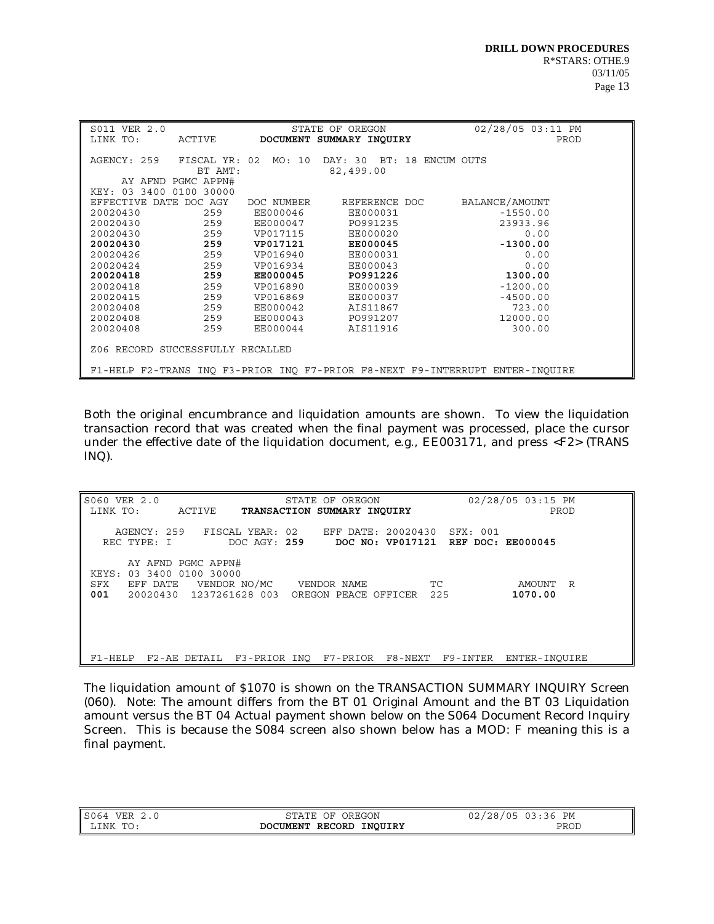| S011 VER 2.0<br>LINK TO:                                                                                                                                     | ACTIVE                                                                        | <b>DOCUMENT</b>                                                                                                                           | STATE OF OREGON<br>SUMMARY INQUIRY                                                                                                                       |                   | 02/28/05 03:11 PM<br>PROD                                                                                                       |  |
|--------------------------------------------------------------------------------------------------------------------------------------------------------------|-------------------------------------------------------------------------------|-------------------------------------------------------------------------------------------------------------------------------------------|----------------------------------------------------------------------------------------------------------------------------------------------------------|-------------------|---------------------------------------------------------------------------------------------------------------------------------|--|
| AGENCY: 259<br>KEY: 03 3400 0100 30000                                                                                                                       | FISCAL YR:<br>BT AMT:<br>AY AFND PGMC APPN#                                   | 02<br>MO: 10                                                                                                                              | DAY: 30<br>82,499.00                                                                                                                                     | BT: 18 ENCUM OUTS |                                                                                                                                 |  |
| <b>EFFECTIVE</b><br>DATE<br>20020430<br>20020430<br>20020430<br>20020430<br>20020426<br>20020424<br>20020418<br>20020418<br>20020415<br>20020408<br>20020408 | DOC AGY<br>259<br>259<br>259<br>259<br>259<br>259<br>259<br>259<br>259<br>259 | DOC NUMBER<br>EE000046<br>EE000047<br>VP017115<br>VP017121<br>VP016940<br>VP016934<br><b>EE000045</b><br>VP016890<br>VP016869<br>EE000042 | REFERENCE DOC<br>EE000031<br>PO991235<br>EE000020<br><b>EE000045</b><br>EE000031<br>EE000043<br>PO991226<br>EE000039<br>EE000037<br>AIS11867<br>PO991207 |                   | BALANCE/AMOUNT<br>$-1550.00$<br>23933.96<br>0.00<br>$-1300.00$<br>0.00<br>0.00<br>1300.00<br>$-1200.00$<br>$-4500.00$<br>723.00 |  |
| 20020408                                                                                                                                                     | 259<br>259                                                                    | EE000043<br>EE000044                                                                                                                      | AIS11916                                                                                                                                                 |                   | 12000.00<br>300.00                                                                                                              |  |
| Z06 RECORD SUCCESSFULLY RECALLED                                                                                                                             |                                                                               |                                                                                                                                           |                                                                                                                                                          |                   |                                                                                                                                 |  |
| F1-HELP F2-TRANS INQ F3-PRIOR INQ F7-PRIOR F8-NEXT F9-INTERRUPT ENTER-INQUIRE                                                                                |                                                                               |                                                                                                                                           |                                                                                                                                                          |                   |                                                                                                                                 |  |

Both the original encumbrance and liquidation amounts are shown. To view the liquidation transaction record that was created when the final payment was processed, place the cursor under the effective date of the liquidation document, e.g., EE003171, and press <F2> (TRANS INQ).

| S060 VER 2.0<br>STATE OF OREGON<br>LINK TO:<br>ACTIVE<br>TRANSACTION SUMMARY INOUIRY                                                                                             | 02/28/05 03:15 PM<br>PROD |
|----------------------------------------------------------------------------------------------------------------------------------------------------------------------------------|---------------------------|
| AGENCY: 259 FISCAL YEAR: 02 EFF DATE: 20020430<br>SFX: 001<br>REC TYPE: I<br>DOC AGY: 259 DOC NO: VP017121 REF DOC: EE000045                                                     |                           |
| AY AFND PGMC APPN#<br>03 3400 0100 30000<br>KEYS:<br>VENDOR NO/MC VENDOR NAME<br>EFF DATE<br>${\rm SFX}$<br>TC.<br>001<br>20020430  1237261628  003  OREGON  PEACE  OFFICER  225 | AMOUNT<br>R<br>1070.00    |
| F2-AE DETAIL F3-PRIOR INO F7-PRIOR F8-NEXT F9-INTER<br>$F1$ -HELP                                                                                                                | ENTER-INOUIRE             |

The liquidation amount of \$1070 is shown on the TRANSACTION SUMMARY INQUIRY Screen (060). Note: The amount differs from the BT 01 Original Amount and the BT 03 Liquidation amount versus the BT 04 Actual payment shown below on the S064 Document Record Inquiry Screen. This is because the S084 screen also shown below has a MOD: F meaning this is a final payment.

S064 VER 2.0 STATE OF OREGON STATE OF OREGON 02/28/05 03:36 PM<br>LINK TO: **DOCUMENT RECORD INQUIRY** DEROD DOCUMENT RECORD INQUIRY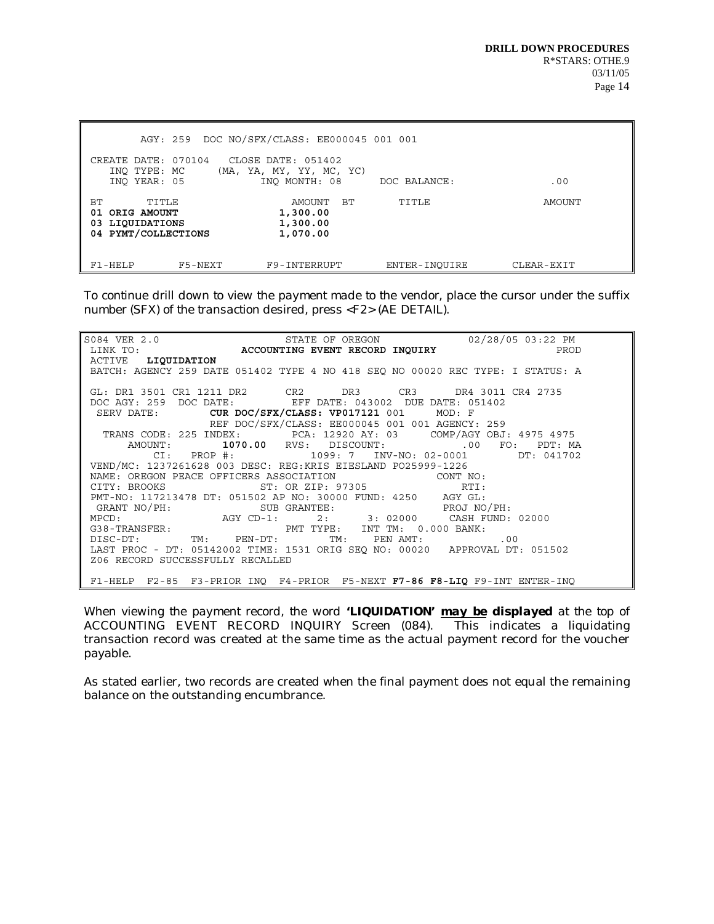|                                                                            |         | AGY: 259 DOC NO/SFX/CLASS: EE000045 001 001      |               |            |
|----------------------------------------------------------------------------|---------|--------------------------------------------------|---------------|------------|
| CREATE DATE: 070104<br>INO TYPE: MC                                        |         | CLOSE DATE: 051402<br>(MA, YA, MY, YY, MC, YC)   |               |            |
| INO YEAR: 05                                                               |         | INO MONTH: 08                                    | DOC BALANCE:  | .00        |
| BТ<br>TITLE<br>ORIG AMOUNT<br>01<br>03 LIQUIDATIONS<br>04 PYMT/COLLECTIONS |         | BТ<br>AMOUNT<br>1,300.00<br>1,300.00<br>1,070.00 | TITLE         | AMOUNT     |
| F1-HELP                                                                    | F5-NEXT | F9-INTERRUPT                                     | ENTER-INOUIRE | CLEAR-EXIT |

*To continue drill down to view the payment made to the vendor, place the cursor under the suffix number (SFX) of the transaction desired, press <F2> (AE DETAIL).* 

| $\begin{array}{cccccc} \texttt{S084} & \texttt{VER} & 2.0 & & & \\ \texttt{LINK} & \texttt{T0:} & & & & \\ \texttt{LINK} & \texttt{T0:} & & & & \\ \end{array} \begin{array}{cccccc} \texttt{STATE} & \texttt{OF} & \texttt{OREGON} & & & \\ \texttt{STATE} & \texttt{BVEON} & \texttt{INGUIRY} & & & \\ \end{array} \begin{array}{cccccc} \texttt{02/28/05} & \texttt{03:22} & \texttt{PM} & & \\ \texttt{PROD} & & & & \\ \end{array}$ |
|------------------------------------------------------------------------------------------------------------------------------------------------------------------------------------------------------------------------------------------------------------------------------------------------------------------------------------------------------------------------------------------------------------------------------------------|
|                                                                                                                                                                                                                                                                                                                                                                                                                                          |
| ACTIVE LIQUIDATION                                                                                                                                                                                                                                                                                                                                                                                                                       |
| BATCH: AGENCY 259 DATE 051402 TYPE 4 NO 418 SEQ NO 00020 REC TYPE: I STATUS: A                                                                                                                                                                                                                                                                                                                                                           |
| GL: DR1 3501 CR1 1211 DR2 CR2 DR3 CR3 DR4 3011 CR4 2735                                                                                                                                                                                                                                                                                                                                                                                  |
| DOC AGY: 259 DOC DATE: EFF DATE: 043002 DUE DATE: 051402                                                                                                                                                                                                                                                                                                                                                                                 |
| SERV DATE: CUR DOC/SFX/CLASS: VP017121 001 MOD: F                                                                                                                                                                                                                                                                                                                                                                                        |
| REF DOC/SFX/CLASS: EE000045 001 001 AGENCY: 259                                                                                                                                                                                                                                                                                                                                                                                          |
| TRANS CODE: 225 INDEX: PCA: 12920 AY: 03 COMP/AGY OBJ: 4975 4975                                                                                                                                                                                                                                                                                                                                                                         |
| AMOUNT: 1070.00 RVS: DISCOUNT: 00 FO: PDT: MA                                                                                                                                                                                                                                                                                                                                                                                            |
| CI: PROP #: 1099: 7 INV-NO: 02-0001 DT: 041702                                                                                                                                                                                                                                                                                                                                                                                           |
| VEND/MC: 1237261628 003 DESC: REG:KRIS EIESLAND PO25999-1226                                                                                                                                                                                                                                                                                                                                                                             |
| NAME: OREGON PEACE OFFICERS ASSOCIATION CONT NO:<br>CITY: BROOKS ST: OR ZIP: 97305 RTI:                                                                                                                                                                                                                                                                                                                                                  |
|                                                                                                                                                                                                                                                                                                                                                                                                                                          |
|                                                                                                                                                                                                                                                                                                                                                                                                                                          |
| PMT-NO: 117213478 DT: 051502 AP NO: 30000 FUND: 4250 AGY GL:<br>GRANT NO/PH: SUB GRANTEE: PROJ NO/PH:<br>MPCD: AGY CD-1: 2: 3: 02000 CASH FUND: 02000<br>G38-TRANSFER: PMT TYPE: INT TM: 0.000 BANK:<br>TIGC PT: THE PMT TYPE: INT TM:                                                                                                                                                                                                   |
|                                                                                                                                                                                                                                                                                                                                                                                                                                          |
|                                                                                                                                                                                                                                                                                                                                                                                                                                          |
| ${\tt DISC-DT:}\qquad \qquad {\tt TM:}\qquad {\tt PEN-DT:}\qquad \qquad {\tt TM:}\qquad {\tt PEN~AMT:}\qquad \qquad .00$                                                                                                                                                                                                                                                                                                                 |
| LAST PROC - DT: 05142002 TIME: 1531 ORIG SEO NO: 00020 APPROVAL DT: 051502                                                                                                                                                                                                                                                                                                                                                               |
| Z06 RECORD SUCCESSFULLY RECALLED                                                                                                                                                                                                                                                                                                                                                                                                         |
| F1-HELP F2-85 F3-PRIOR INQ F4-PRIOR F5-NEXT F7-86 F8-LIQ F9-INT ENTER-INQ                                                                                                                                                                                                                                                                                                                                                                |

*When viewing the payment record, the word 'LIQUIDATION' may be displayed at the top* of ACCOUNTING EVENT RECORD INQUIRY Screen (084). This indicates a liquidating transaction record was created at the same time as the actual payment record for the voucher payable.

As stated earlier, two records are created when the final payment does not equal the remaining balance on the outstanding encumbrance.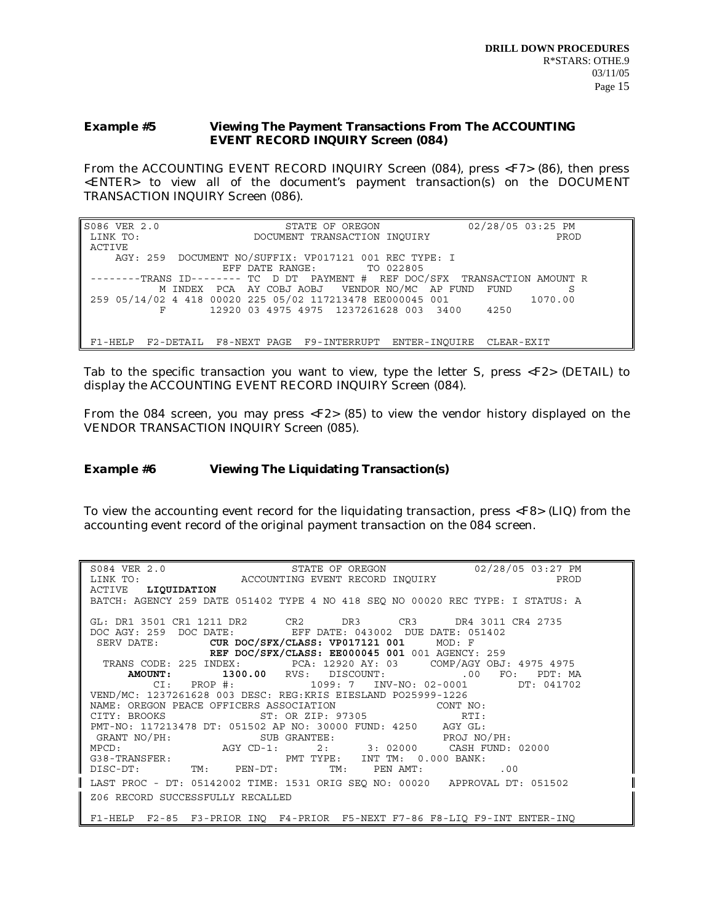## *Example #5* **Viewing The Payment Transactions From The ACCOUNTING EVENT RECORD INQUIRY Screen (084)**

From the ACCOUNTING EVENT RECORD INQUIRY Screen (084), press <F7> (86), then press <ENTER> to view all of the document's payment transaction(s) on the DOCUMENT TRANSACTION INQUIRY Screen (086).

| S086 VER 2.0 | STATE OF OREGON                                                            | 02/28/05 03:25 PM |
|--------------|----------------------------------------------------------------------------|-------------------|
| LINK TO:     | DOCUMENT TRANSACTION INOUIRY                                               | PROD              |
| ACTIVE       |                                                                            |                   |
|              | AGY: 259 DOCUMENT NO/SUFFIX: VP017121 001 REC TYPE: I                      |                   |
|              | EFF DATE RANGE: TO 022805                                                  |                   |
|              | -------TRANS ID-------- TC D DT PAYMENT # REF DOC/SFX TRANSACTION AMOUNT R |                   |
|              | M INDEX PCA AY COBJ AOBJ VENDOR NO/MC AP FUND FUND                         | -S                |
|              | 259 05/14/02 4 418 00020 225 05/02 117213478 EE000045 001                  | 1070.00           |
|              | 12920 03 4975 4975 1237261628 003 3400 4250                                |                   |
|              |                                                                            |                   |
|              |                                                                            |                   |
| F1-HELP      | F2-DETAIL F8-NEXT PAGE F9-INTERRUPT ENTER-INOUIRE CLEAR-EXIT               |                   |

Tab to the specific transaction you want to view, type the letter S, press <F2> (DETAIL) to display the ACCOUNTING EVENT RECORD INQUIRY Screen (084).

From the 084 screen, you may press <F2> (85) to view the vendor history displayed on the VENDOR TRANSACTION INQUIRY Screen (085).

# *Example #6* **Viewing The Liquidating Transaction(s)**

To view the accounting event record for the liquidating transaction, press <F8> (LIQ) from the accounting event record of the original payment transaction on the 084 screen.

| ${\tt SO84~VER~2.0}~~{\tt STATE~OF~OREGON}~~02/28/05~03:27~PM~LINK~TO:~~{\tt ACCOUNTING~EVENT~RECORD~INQUIRY}~~{\tt PROD}~~{\tt PROD}$                                                                                                                       |
|--------------------------------------------------------------------------------------------------------------------------------------------------------------------------------------------------------------------------------------------------------------|
|                                                                                                                                                                                                                                                              |
| ACTIVE LIQUIDATION                                                                                                                                                                                                                                           |
| BATCH: AGENCY 259 DATE 051402 TYPE 4 NO 418 SEQ NO 00020 REC TYPE: I STATUS: A                                                                                                                                                                               |
|                                                                                                                                                                                                                                                              |
| GL: DR1 3501 CR1 1211 DR2 CR2 DR3 CR3 DR4 3011 CR4 2735                                                                                                                                                                                                      |
| DOC AGY: 259 DOC DATE: EFF DATE: 043002 DUE DATE: 051402                                                                                                                                                                                                     |
| SERV DATE: CUR DOC/SFX/CLASS: VP017121 001 MOD: F                                                                                                                                                                                                            |
| REF DOC/SFX/CLASS: EE000045 001 001 AGENCY: 259                                                                                                                                                                                                              |
| TRANS CODE: 225 INDEX: PCA: 12920 AY: 03 COMP/AGY OBJ: 4975 4975                                                                                                                                                                                             |
| AMOUNT: 1300.00 RVS: DISCOUNT: 00 FO: PDT: MA                                                                                                                                                                                                                |
| CI: PROP #: 1099: 7 INV-NO: 02-0001 DT: 041702                                                                                                                                                                                                               |
| VEND/MC: 1237261628 003 DESC: REG:KRIS EIESLAND PO25999-1226                                                                                                                                                                                                 |
| NAME: OREGON PEACE OFFICERS ASSOCIATION CONT NO:<br>CITY: BROOKS ST: OR ZIP: 97305 RTI:                                                                                                                                                                      |
|                                                                                                                                                                                                                                                              |
| PMT-NO: 117213478 DT: 051502 AP NO: 30000 FUND: 4250 AGY GL:                                                                                                                                                                                                 |
|                                                                                                                                                                                                                                                              |
|                                                                                                                                                                                                                                                              |
|                                                                                                                                                                                                                                                              |
| GRANT NO/PH:<br>MPCD:<br>MPCD:<br>MANT NO/PH:<br>MPCD:<br>AGY CD-1:<br>2:<br>3: 02000 CASH FUND: 02000<br>CASH FUND: 02000<br>CASH FUND: 02000<br>CASH FUND: 02000<br>CASH FUND: 02000<br>CASH FUND: 02000<br>CASH FUND: 02000<br>CASH FUND: 02000<br>CASH F |
| LAST PROC - DT: 05142002 TIME: 1531 ORIG SEQ NO: 00020 APPROVAL DT: 051502                                                                                                                                                                                   |
| Z06 RECORD SUCCESSFULLY RECALLED                                                                                                                                                                                                                             |
|                                                                                                                                                                                                                                                              |
| F1-HELP F2-85 F3-PRIOR INO F4-PRIOR F5-NEXT F7-86 F8-LIO F9-INT ENTER-INO                                                                                                                                                                                    |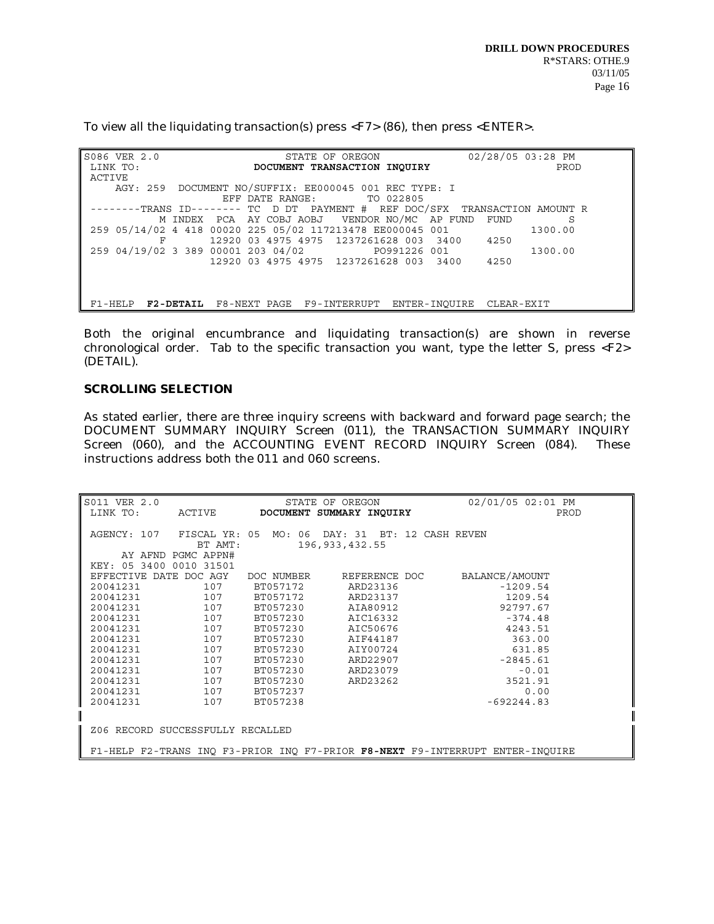To view all the liquidating transaction(s) press <F7> (86), then press <ENTER>.

| S086 VER 2.0 | STATE OF OREGON                                                            | 02/28/05 03:28 PM |
|--------------|----------------------------------------------------------------------------|-------------------|
| LINK TO:     | DOCUMENT TRANSACTION INQUIRY                                               | PROD              |
| ACTIVE       |                                                                            |                   |
|              | AGY: 259 DOCUMENT NO/SUFFIX: EE000045 001 REC TYPE: I                      |                   |
|              | EFF DATE RANGE: TO 022805                                                  |                   |
|              | -------TRANS ID-------- TC D DT PAYMENT # REF DOC/SFX TRANSACTION AMOUNT R |                   |
|              | M INDEX PCA AY COBJ AOBJ VENDOR NO/MC AP FUND FUND                         | S                 |
|              | 259 05/14/02 4 418 00020 225 05/02 117213478 EE000045 001                  | 1300.00           |
|              | 12920 03 4975 4975 1237261628 003 3400 4250                                |                   |
|              | 259 04/19/02 3 389 00001 203 04/02 PO991226 001                            | 1300.00           |
|              | 12920 03 4975 4975 1237261628 003 3400 4250                                |                   |
|              |                                                                            |                   |
|              |                                                                            |                   |
|              |                                                                            |                   |
|              | F1-HELP F2-DETAIL F8-NEXT PAGE F9-INTERRUPT ENTER-INOUIRE CLEAR-EXIT       |                   |

Both the original encumbrance and liquidating transaction(s) are shown in reverse chronological order. Tab to the specific transaction you want, type the letter S, press  $\langle F2 \rangle$ (DETAIL).

# **SCROLLING SELECTION**

As stated earlier, there are three inquiry screens with backward and forward page search; the DOCUMENT SUMMARY INQUIRY Screen (011), the TRANSACTION SUMMARY INQUIRY Screen (060), and the ACCOUNTING EVENT RECORD INQUIRY Screen (084). These instructions address both the 011 and 060 screens.

| S011 VER 2.0                                                                  |                    |            | STATE OF OREGON          | 02/01/05 02:01 PM                |  |
|-------------------------------------------------------------------------------|--------------------|------------|--------------------------|----------------------------------|--|
| LINK TO:                                                                      | ACTIVE             |            | DOCUMENT SUMMARY INQUIRY | PROD                             |  |
|                                                                               |                    |            |                          |                                  |  |
| AGENCY: 107                                                                   | FISCAL YR: 05      |            |                          | MO: 06 DAY: 31 BT: 12 CASH REVEN |  |
|                                                                               | BT AMT:            |            | 196, 933, 432.55         |                                  |  |
|                                                                               | AY AFND PGMC APPN# |            |                          |                                  |  |
| KEY: 05 3400 0010 31501                                                       |                    |            |                          |                                  |  |
| EFFECTIVE DATE DOC AGY                                                        |                    | DOC NUMBER | REFERENCE DOC            | BALANCE/AMOUNT                   |  |
| 20041231                                                                      | 107                | BT057172   | ARD23136                 | $-1209.54$                       |  |
| 20041231                                                                      | 107                | BT057172   | ARD23137                 | 1209.54                          |  |
| 20041231                                                                      | 107                | BT057230   | AIA80912                 | 92797.67                         |  |
| 20041231                                                                      | 107                | BT057230   | AIC16332                 | $-374.48$                        |  |
| 20041231                                                                      | 107                | BT057230   | AIC50676                 | 4243.51                          |  |
| 20041231                                                                      | 107                | BT057230   | AIF44187                 | 363.00                           |  |
| 20041231                                                                      | 107                | BT057230   | AIY00724                 | 631.85                           |  |
| 20041231                                                                      | 107                | BT057230   | ARD22907                 | $-2845.61$                       |  |
| 20041231                                                                      | 107                | BT057230   | ARD23079                 | $-0.01$                          |  |
| 20041231                                                                      | 107                | BT057230   | ARD23262                 | 3521.91                          |  |
| 20041231                                                                      | 107                | BT057237   |                          | 0.00                             |  |
| 20041231                                                                      | 107                | BT057238   |                          | $-692244.83$                     |  |
|                                                                               |                    |            |                          |                                  |  |
|                                                                               |                    |            |                          |                                  |  |
| Z06 RECORD SUCCESSFULLY RECALLED                                              |                    |            |                          |                                  |  |
| F1-HELP F2-TRANS INQ F3-PRIOR INQ F7-PRIOR F8-NEXT F9-INTERRUPT ENTER-INQUIRE |                    |            |                          |                                  |  |
|                                                                               |                    |            |                          |                                  |  |